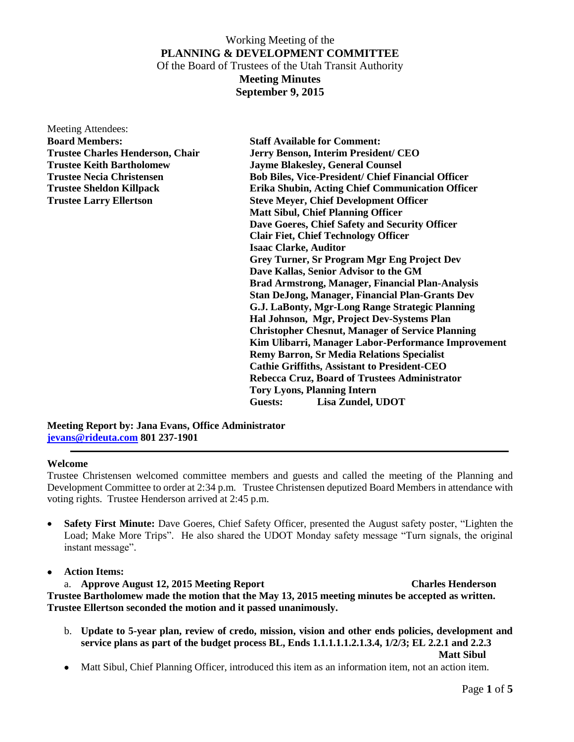Meeting Attendees: **Board Members: Staff Available for Comment:**

**Trustee Charles Henderson, Chair Jerry Benson, Interim President/ CEO Trustee Keith Bartholomew Jayme Blakesley, General Counsel Trustee Necia Christensen Bob Biles, Vice-President/ Chief Financial Officer Trustee Sheldon Killpack Erika Shubin, Acting Chief Communication Officer Trustee Larry Ellertson Steve Meyer, Chief Development Officer Matt Sibul, Chief Planning Officer Dave Goeres, Chief Safety and Security Officer Clair Fiet, Chief Technology Officer Isaac Clarke, Auditor Grey Turner, Sr Program Mgr Eng Project Dev Dave Kallas, Senior Advisor to the GM Brad Armstrong, Manager, Financial Plan-Analysis Stan DeJong, Manager, Financial Plan-Grants Dev G.J. LaBonty, Mgr-Long Range Strategic Planning Hal Johnson, Mgr, Project Dev-Systems Plan Christopher Chesnut, Manager of Service Planning Kim Ulibarri, Manager Labor-Performance Improvement Remy Barron, Sr Media Relations Specialist Cathie Griffiths, Assistant to President-CEO Rebecca Cruz, Board of Trustees Administrator Tory Lyons, Planning Intern Guests: Lisa Zundel, UDOT**

**Meeting Report by: Jana Evans, Office Administrator [jevans@rideuta.com](mailto:jevans@rideuta.com) 801 237-1901**

### **Welcome**

Trustee Christensen welcomed committee members and guests and called the meeting of the Planning and Development Committee to order at 2:34 p.m. Trustee Christensen deputized Board Members in attendance with voting rights. Trustee Henderson arrived at 2:45 p.m.

- **Safety First Minute:** Dave Goeres, Chief Safety Officer, presented the August safety poster, "Lighten the Load; Make More Trips". He also shared the UDOT Monday safety message "Turn signals, the original instant message".
- **Action Items:**

a. **Approve August 12, 2015 Meeting Report Charles Henderson Trustee Bartholomew made the motion that the May 13, 2015 meeting minutes be accepted as written. Trustee Ellertson seconded the motion and it passed unanimously.**

- b. **Update to 5-year plan, review of credo, mission, vision and other ends policies, development and service plans as part of the budget process BL, Ends 1.1.1.1.1.2.1.3.4, 1/2/3; EL 2.2.1 and 2.2.3 Matt Sibul**
- Matt Sibul, Chief Planning Officer, introduced this item as an information item, not an action item.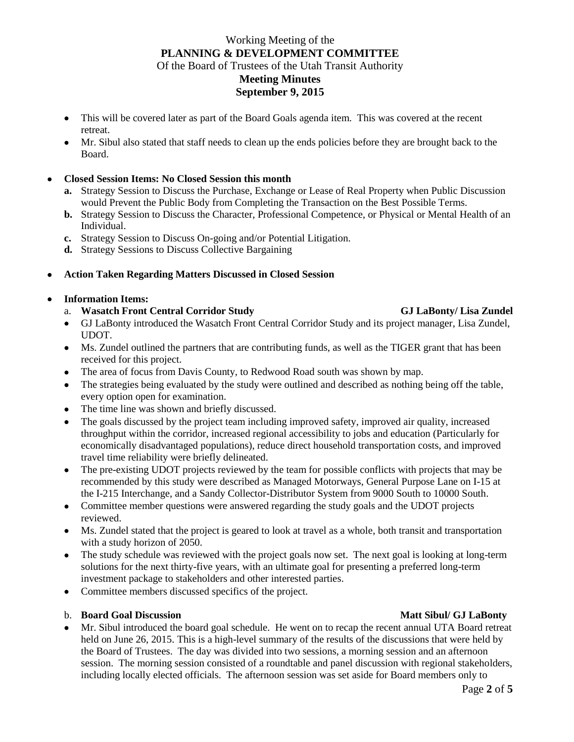- This will be covered later as part of the Board Goals agenda item. This was covered at the recent retreat.
- Mr. Sibul also stated that staff needs to clean up the ends policies before they are brought back to the Board.

## **Closed Session Items: No Closed Session this month**

- **a.** Strategy Session to Discuss the Purchase, Exchange or Lease of Real Property when Public Discussion would Prevent the Public Body from Completing the Transaction on the Best Possible Terms.
- **b.** Strategy Session to Discuss the Character, Professional Competence, or Physical or Mental Health of an Individual.
- **c.** Strategy Session to Discuss On-going and/or Potential Litigation.
- **d.** Strategy Sessions to Discuss Collective Bargaining

## **Action Taken Regarding Matters Discussed in Closed Session**

### **Information Items:**

- a. **Wasatch Front Central Corridor Study GJ LaBonty/ Lisa Zundel**
- GJ LaBonty introduced the Wasatch Front Central Corridor Study and its project manager, Lisa Zundel, UDOT.
- Ms. Zundel outlined the partners that are contributing funds, as well as the TIGER grant that has been received for this project.
- The area of focus from Davis County, to Redwood Road south was shown by map.
- The strategies being evaluated by the study were outlined and described as nothing being off the table, every option open for examination.
- The time line was shown and briefly discussed.
- The goals discussed by the project team including improved safety, improved air quality, increased throughput within the corridor, increased regional accessibility to jobs and education (Particularly for economically disadvantaged populations), reduce direct household transportation costs, and improved travel time reliability were briefly delineated.
- The pre-existing UDOT projects reviewed by the team for possible conflicts with projects that may be recommended by this study were described as Managed Motorways, General Purpose Lane on I-15 at the I-215 Interchange, and a Sandy Collector-Distributor System from 9000 South to 10000 South.
- Committee member questions were answered regarding the study goals and the UDOT projects reviewed.
- Ms. Zundel stated that the project is geared to look at travel as a whole, both transit and transportation with a study horizon of 2050.
- The study schedule was reviewed with the project goals now set. The next goal is looking at long-term solutions for the next thirty-five years, with an ultimate goal for presenting a preferred long-term investment package to stakeholders and other interested parties.
- Committee members discussed specifics of the project.

### b. **Board Goal Discussion Community Community Community Community Community Community Community Community Community Community Community Community Community Community Community Community Community Community Community Commun**

 Mr. Sibul introduced the board goal schedule. He went on to recap the recent annual UTA Board retreat held on June 26, 2015. This is a high-level summary of the results of the discussions that were held by the Board of Trustees. The day was divided into two sessions, a morning session and an afternoon session. The morning session consisted of a roundtable and panel discussion with regional stakeholders, including locally elected officials. The afternoon session was set aside for Board members only to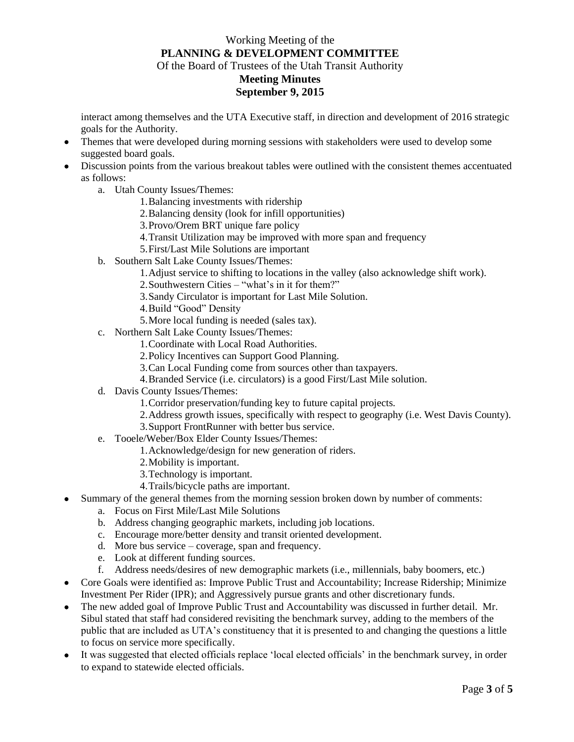interact among themselves and the UTA Executive staff, in direction and development of 2016 strategic goals for the Authority.

- Themes that were developed during morning sessions with stakeholders were used to develop some suggested board goals.
- Discussion points from the various breakout tables were outlined with the consistent themes accentuated as follows:
	- a. Utah County Issues/Themes:
		- 1.Balancing investments with ridership
		- 2.Balancing density (look for infill opportunities)
		- 3.Provo/Orem BRT unique fare policy
		- 4.Transit Utilization may be improved with more span and frequency
		- 5.First/Last Mile Solutions are important
	- b. Southern Salt Lake County Issues/Themes:
		- 1.Adjust service to shifting to locations in the valley (also acknowledge shift work).
		- 2.Southwestern Cities "what's in it for them?"
		- 3.Sandy Circulator is important for Last Mile Solution.
		- 4.Build "Good" Density
		- 5.More local funding is needed (sales tax).
	- c. Northern Salt Lake County Issues/Themes:
		- 1.Coordinate with Local Road Authorities.
		- 2.Policy Incentives can Support Good Planning.
		- 3.Can Local Funding come from sources other than taxpayers.
		- 4.Branded Service (i.e. circulators) is a good First/Last Mile solution.
	- d. Davis County Issues/Themes:
		- 1.Corridor preservation/funding key to future capital projects.
		- 2.Address growth issues, specifically with respect to geography (i.e. West Davis County).
		- 3.Support FrontRunner with better bus service.
	- e. Tooele/Weber/Box Elder County Issues/Themes:
		- 1.Acknowledge/design for new generation of riders.
		- 2.Mobility is important.
		- 3.Technology is important.
		- 4.Trails/bicycle paths are important.
- Summary of the general themes from the morning session broken down by number of comments:
	- a. Focus on First Mile/Last Mile Solutions
	- b. Address changing geographic markets, including job locations.
	- c. Encourage more/better density and transit oriented development.
	- d. More bus service coverage, span and frequency.
	- e. Look at different funding sources.
	- f. Address needs/desires of new demographic markets (i.e., millennials, baby boomers, etc.)
- Core Goals were identified as: Improve Public Trust and Accountability; Increase Ridership; Minimize Investment Per Rider (IPR); and Aggressively pursue grants and other discretionary funds.
- The new added goal of Improve Public Trust and Accountability was discussed in further detail. Mr. Sibul stated that staff had considered revisiting the benchmark survey, adding to the members of the public that are included as UTA's constituency that it is presented to and changing the questions a little to focus on service more specifically.
- It was suggested that elected officials replace 'local elected officials' in the benchmark survey, in order to expand to statewide elected officials.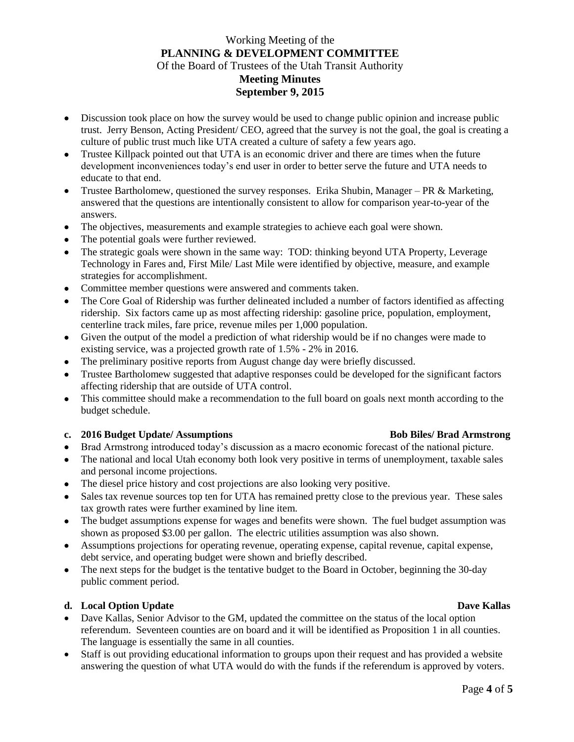- Discussion took place on how the survey would be used to change public opinion and increase public trust. Jerry Benson, Acting President/ CEO, agreed that the survey is not the goal, the goal is creating a culture of public trust much like UTA created a culture of safety a few years ago.
- Trustee Killpack pointed out that UTA is an economic driver and there are times when the future development inconveniences today's end user in order to better serve the future and UTA needs to educate to that end.
- Trustee Bartholomew, questioned the survey responses. Erika Shubin, Manager PR & Marketing, answered that the questions are intentionally consistent to allow for comparison year-to-year of the answers.
- The objectives, measurements and example strategies to achieve each goal were shown.
- The potential goals were further reviewed.
- The strategic goals were shown in the same way: TOD: thinking beyond UTA Property, Leverage Technology in Fares and, First Mile/ Last Mile were identified by objective, measure, and example strategies for accomplishment.
- Committee member questions were answered and comments taken.
- The Core Goal of Ridership was further delineated included a number of factors identified as affecting ridership. Six factors came up as most affecting ridership: gasoline price, population, employment, centerline track miles, fare price, revenue miles per 1,000 population.
- Given the output of the model a prediction of what ridership would be if no changes were made to existing service, was a projected growth rate of 1.5% - 2% in 2016.
- The preliminary positive reports from August change day were briefly discussed.
- Trustee Bartholomew suggested that adaptive responses could be developed for the significant factors affecting ridership that are outside of UTA control.
- This committee should make a recommendation to the full board on goals next month according to the budget schedule.

## **c. 2016 Budget Update/ Assumptions Bob Biles/ Brad Armstrong**

- Brad Armstrong introduced today's discussion as a macro economic forecast of the national picture.
- The national and local Utah economy both look very positive in terms of unemployment, taxable sales and personal income projections.
- The diesel price history and cost projections are also looking very positive.
- Sales tax revenue sources top ten for UTA has remained pretty close to the previous year. These sales tax growth rates were further examined by line item.
- The budget assumptions expense for wages and benefits were shown. The fuel budget assumption was shown as proposed \$3.00 per gallon. The electric utilities assumption was also shown.
- Assumptions projections for operating revenue, operating expense, capital revenue, capital expense, debt service, and operating budget were shown and briefly described.
- The next steps for the budget is the tentative budget to the Board in October, beginning the 30-day public comment period.

### **d. Local Option Update Dave Kallas**

- Dave Kallas, Senior Advisor to the GM, updated the committee on the status of the local option referendum. Seventeen counties are on board and it will be identified as Proposition 1 in all counties. The language is essentially the same in all counties.
- Staff is out providing educational information to groups upon their request and has provided a website answering the question of what UTA would do with the funds if the referendum is approved by voters.

## Page **4** of **5**